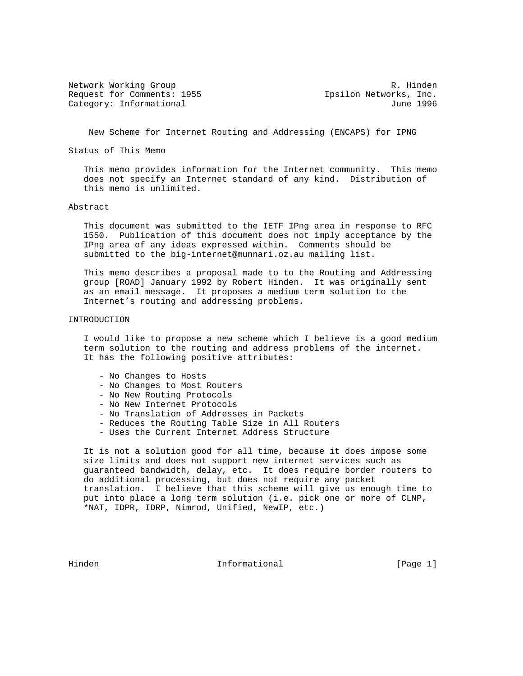Network Working Group and the set of the set of the R. Hinden Request for Comments: 1955 **Ipsilon Networks, Inc.** Category: Informational June 1996

New Scheme for Internet Routing and Addressing (ENCAPS) for IPNG

Status of This Memo

 This memo provides information for the Internet community. This memo does not specify an Internet standard of any kind. Distribution of this memo is unlimited.

## Abstract

 This document was submitted to the IETF IPng area in response to RFC 1550. Publication of this document does not imply acceptance by the IPng area of any ideas expressed within. Comments should be submitted to the big-internet@munnari.oz.au mailing list.

 This memo describes a proposal made to to the Routing and Addressing group [ROAD] January 1992 by Robert Hinden. It was originally sent as an email message. It proposes a medium term solution to the Internet's routing and addressing problems.

## INTRODUCTION

 I would like to propose a new scheme which I believe is a good medium term solution to the routing and address problems of the internet. It has the following positive attributes:

- No Changes to Hosts
- No Changes to Most Routers
- No New Routing Protocols
- No New Internet Protocols
- No Translation of Addresses in Packets
- Reduces the Routing Table Size in All Routers
- Uses the Current Internet Address Structure

 It is not a solution good for all time, because it does impose some size limits and does not support new internet services such as guaranteed bandwidth, delay, etc. It does require border routers to do additional processing, but does not require any packet translation. I believe that this scheme will give us enough time to put into place a long term solution (i.e. pick one or more of CLNP, \*NAT, IDPR, IDRP, Nimrod, Unified, NewIP, etc.)

Hinden **Informational Informational Informational** [Page 1]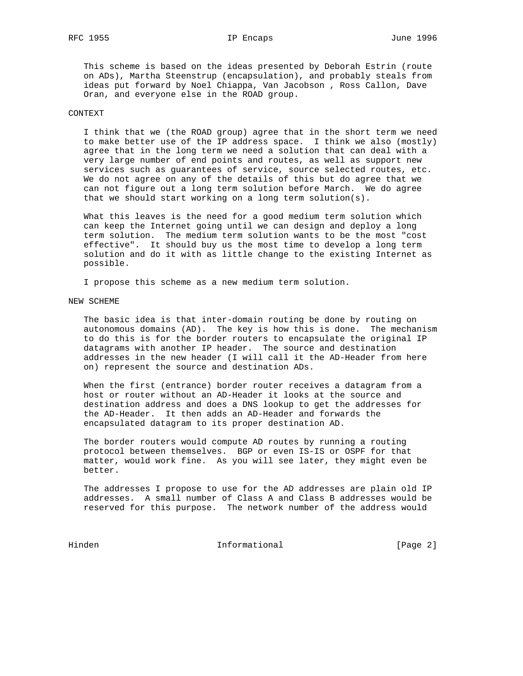This scheme is based on the ideas presented by Deborah Estrin (route on ADs), Martha Steenstrup (encapsulation), and probably steals from ideas put forward by Noel Chiappa, Van Jacobson , Ross Callon, Dave Oran, and everyone else in the ROAD group.

## CONTEXT

 I think that we (the ROAD group) agree that in the short term we need to make better use of the IP address space. I think we also (mostly) agree that in the long term we need a solution that can deal with a very large number of end points and routes, as well as support new services such as guarantees of service, source selected routes, etc. We do not agree on any of the details of this but do agree that we can not figure out a long term solution before March. We do agree that we should start working on a long term solution(s).

 What this leaves is the need for a good medium term solution which can keep the Internet going until we can design and deploy a long term solution. The medium term solution wants to be the most "cost effective". It should buy us the most time to develop a long term solution and do it with as little change to the existing Internet as possible.

I propose this scheme as a new medium term solution.

NEW SCHEME

 The basic idea is that inter-domain routing be done by routing on autonomous domains (AD). The key is how this is done. The mechanism to do this is for the border routers to encapsulate the original IP datagrams with another IP header. The source and destination addresses in the new header (I will call it the AD-Header from here on) represent the source and destination ADs.

 When the first (entrance) border router receives a datagram from a host or router without an AD-Header it looks at the source and destination address and does a DNS lookup to get the addresses for the AD-Header. It then adds an AD-Header and forwards the encapsulated datagram to its proper destination AD.

 The border routers would compute AD routes by running a routing protocol between themselves. BGP or even IS-IS or OSPF for that matter, would work fine. As you will see later, they might even be better.

 The addresses I propose to use for the AD addresses are plain old IP addresses. A small number of Class A and Class B addresses would be reserved for this purpose. The network number of the address would

Hinden 10 Informational 1999 [Page 2]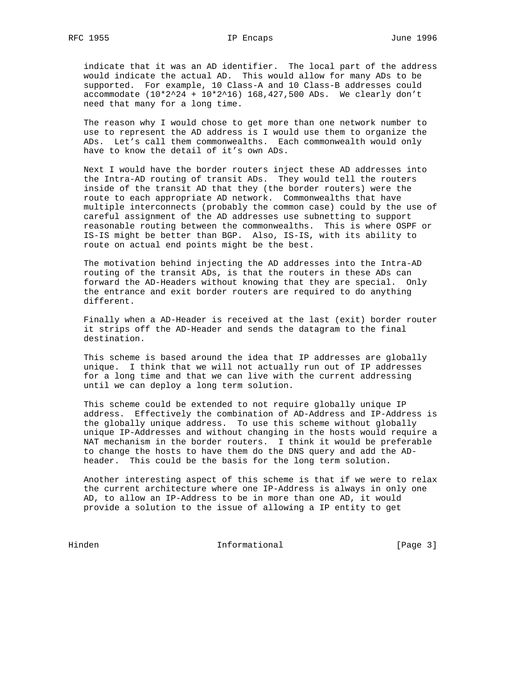indicate that it was an AD identifier. The local part of the address would indicate the actual AD. This would allow for many ADs to be supported. For example, 10 Class-A and 10 Class-B addresses could accommodate  $(10*2^24 + 10*2^16)$  168,427,500 ADs. We clearly don't need that many for a long time.

 The reason why I would chose to get more than one network number to use to represent the AD address is I would use them to organize the ADs. Let's call them commonwealths. Each commonwealth would only have to know the detail of it's own ADs.

 Next I would have the border routers inject these AD addresses into the Intra-AD routing of transit ADs. They would tell the routers inside of the transit AD that they (the border routers) were the route to each appropriate AD network. Commonwealths that have multiple interconnects (probably the common case) could by the use of careful assignment of the AD addresses use subnetting to support reasonable routing between the commonwealths. This is where OSPF or IS-IS might be better than BGP. Also, IS-IS, with its ability to route on actual end points might be the best.

 The motivation behind injecting the AD addresses into the Intra-AD routing of the transit ADs, is that the routers in these ADs can forward the AD-Headers without knowing that they are special. Only the entrance and exit border routers are required to do anything different.

 Finally when a AD-Header is received at the last (exit) border router it strips off the AD-Header and sends the datagram to the final destination.

 This scheme is based around the idea that IP addresses are globally unique. I think that we will not actually run out of IP addresses for a long time and that we can live with the current addressing until we can deploy a long term solution.

 This scheme could be extended to not require globally unique IP address. Effectively the combination of AD-Address and IP-Address is the globally unique address. To use this scheme without globally unique IP-Addresses and without changing in the hosts would require a NAT mechanism in the border routers. I think it would be preferable to change the hosts to have them do the DNS query and add the AD header. This could be the basis for the long term solution.

 Another interesting aspect of this scheme is that if we were to relax the current architecture where one IP-Address is always in only one AD, to allow an IP-Address to be in more than one AD, it would provide a solution to the issue of allowing a IP entity to get

Hinden 10 Informational 1999 [Page 3]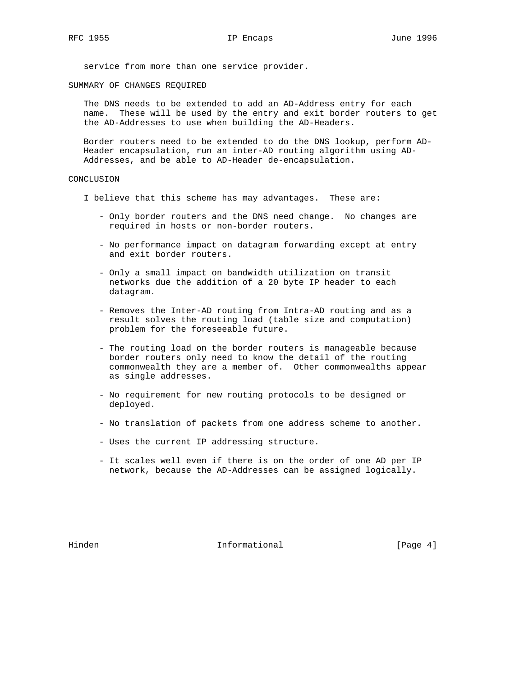service from more than one service provider.

SUMMARY OF CHANGES REQUIRED

 The DNS needs to be extended to add an AD-Address entry for each name. These will be used by the entry and exit border routers to get the AD-Addresses to use when building the AD-Headers.

 Border routers need to be extended to do the DNS lookup, perform AD- Header encapsulation, run an inter-AD routing algorithm using AD- Addresses, and be able to AD-Header de-encapsulation.

## CONCLUSION

I believe that this scheme has may advantages. These are:

- Only border routers and the DNS need change. No changes are required in hosts or non-border routers.
- No performance impact on datagram forwarding except at entry and exit border routers.
- Only a small impact on bandwidth utilization on transit networks due the addition of a 20 byte IP header to each datagram.
- Removes the Inter-AD routing from Intra-AD routing and as a result solves the routing load (table size and computation) problem for the foreseeable future.
- The routing load on the border routers is manageable because border routers only need to know the detail of the routing commonwealth they are a member of. Other commonwealths appear as single addresses.
- No requirement for new routing protocols to be designed or deployed.
- No translation of packets from one address scheme to another.
- Uses the current IP addressing structure.
- It scales well even if there is on the order of one AD per IP network, because the AD-Addresses can be assigned logically.

Hinden 10 Informational 1999 (Page 4)